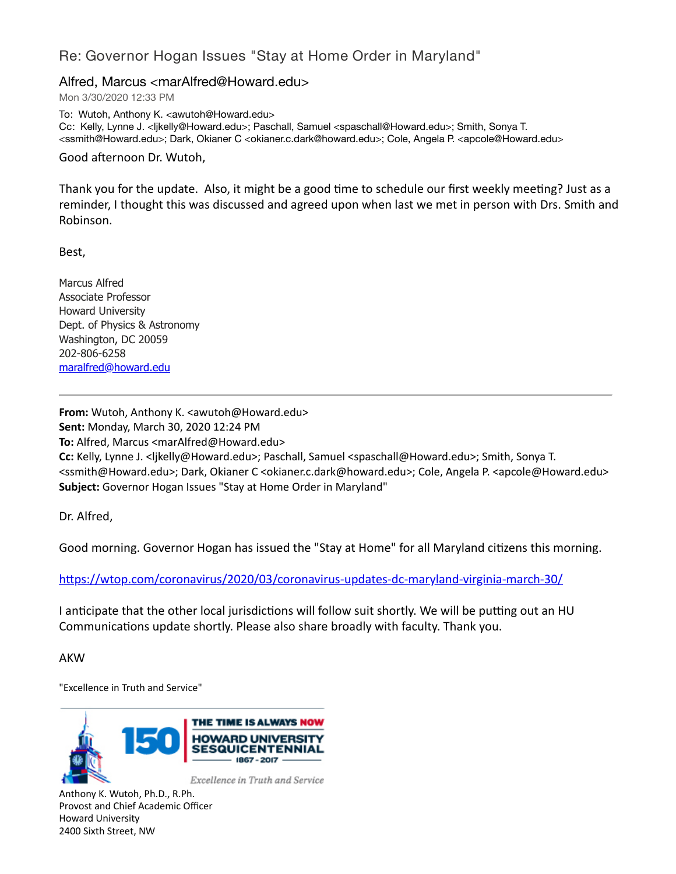## Re: Governor Hogan Issues "Stay at Home Order in Maryland"

## Alfred, Marcus <marAlfred@Howard.edu>

Mon 3/30/2020 12:33 PM

To: Wutoh, Anthony K. <awutoh@Howard.edu> Cc: Kelly, Lynne J. <ljkelly@Howard.edu>; Paschall, Samuel <spaschall@Howard.edu>; Smith, Sonya T. <ssmith@Howard.edu>; Dark, Okianer C <okianer.c.dark@howard.edu>; Cole, Angela P. <apcole@Howard.edu>

Good afternoon Dr. Wutoh,

Thank you for the update. Also, it might be a good time to schedule our first weekly meeting? Just as a reminder, I thought this was discussed and agreed upon when last we met in person with Drs. Smith and Robinson.

Best,

Marcus Alfred Associate Professor Howard University Dept. of Physics & Astronomy Washington, DC 20059 202-806-6258 [maralfred@howard.edu](mailto:maralfred@howard.edu)

**From:** Wutoh, Anthony K. <awutoh@Howard.edu> **Sent:** Monday, March 30, 2020 12:24 PM **To:** Alfred, Marcus <marAlfred@Howard.edu> **Cc:** Kelly, Lynne J. <ljkelly@Howard.edu>; Paschall, Samuel <spaschall@Howard.edu>; Smith, Sonya T. <ssmith@Howard.edu>; Dark, Okianer C <okianer.c.dark@howard.edu>; Cole, Angela P. <apcole@Howard.edu> **Subject:** Governor Hogan Issues "Stay at Home Order in Maryland"

Dr. Alfred,

Good morning. Governor Hogan has issued the "Stay at Home" for all Maryland citizens this morning.

https://wtop.com/coronavirus/2020/03/coronavirus-updates-dc-maryland-virginia-march-30/

I anticipate that the other local jurisdictions will follow suit shortly. We will be putting out an HU Communications update shortly. Please also share broadly with faculty. Thank you.

AKW

"Excellence in Truth and Service"



Anthony K. Wutoh, Ph.D., R.Ph. Provost and Chief Academic Officer Howard University 2400 Sixth Street, NW